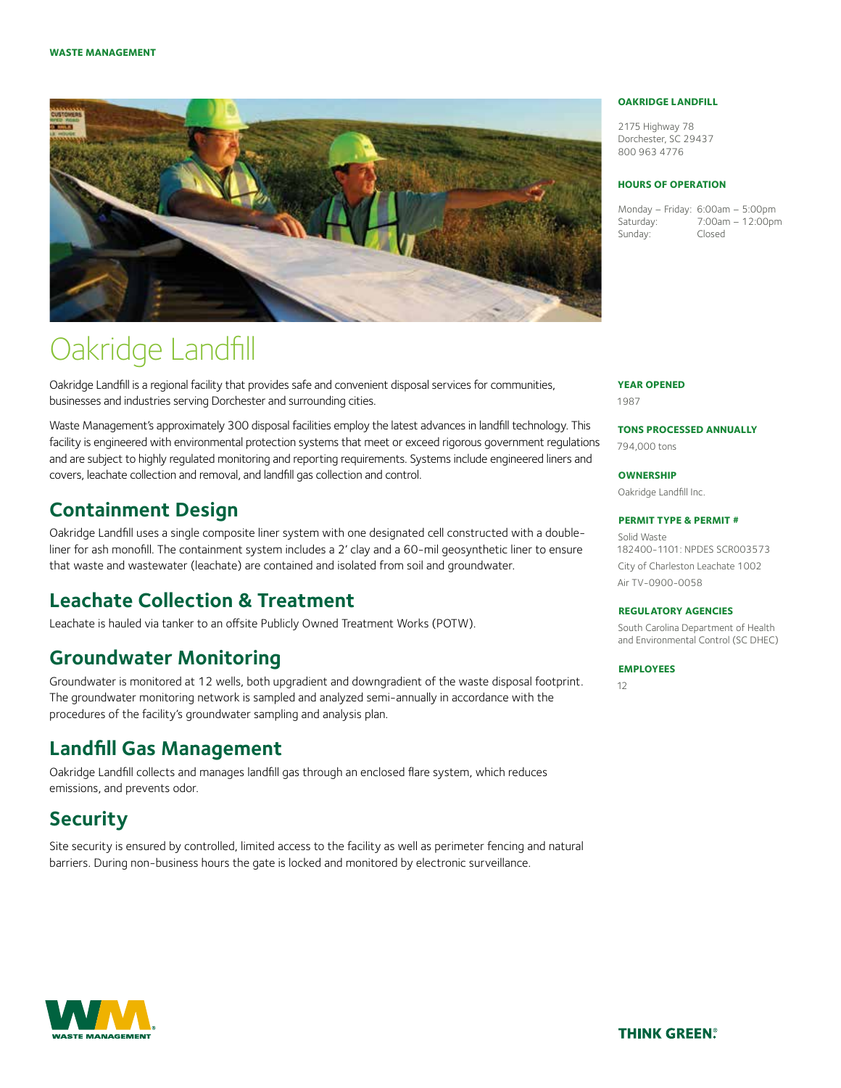

# Oakridge Landfill

Oakridge Landfill is a regional facility that provides safe and convenient disposal services for communities, businesses and industries serving Dorchester and surrounding cities.

Waste Management's approximately 300 disposal facilities employ the latest advances in landfill technology. This facility is engineered with environmental protection systems that meet or exceed rigorous government regulations and are subject to highly regulated monitoring and reporting requirements. Systems include engineered liners and covers, leachate collection and removal, and landfill gas collection and control.

### **Containment Design**

Oakridge Landfill uses a single composite liner system with one designated cell constructed with a doubleliner for ash monofill. The containment system includes a 2' clay and a 60-mil geosynthetic liner to ensure that waste and wastewater (leachate) are contained and isolated from soil and groundwater.

### **Leachate Collection & Treatment**

Leachate is hauled via tanker to an offsite Publicly Owned Treatment Works (POTW).

### **Groundwater Monitoring**

Groundwater is monitored at 12 wells, both upgradient and downgradient of the waste disposal footprint. The groundwater monitoring network is sampled and analyzed semi-annually in accordance with the procedures of the facility's groundwater sampling and analysis plan.

### **Landfill Gas Management**

Oakridge Landfill collects and manages landfill gas through an enclosed flare system, which reduces emissions, and prevents odor.

### **Security**

Site security is ensured by controlled, limited access to the facility as well as perimeter fencing and natural barriers. During non-business hours the gate is locked and monitored by electronic surveillance.

#### **Oakridge Landfill**

2175 Highway 78 Dorchester, SC 29437 800 963 4776

#### **Hours of Operation**

Monday – Friday: 6:00am – 5:00pm Saturday: 7:00am – 12:00pm Sunday: Closed

#### **Year Opened**

1987

**Tons Processed Annually**

794,000 tons

**Ownership**

Oakridge Landfill Inc.

#### **Permit Type & Permit #**

Solid Waste 182400-1101: NPDES SCR003573 City of Charleston Leachate 1002 Air TV-0900-0058

#### **Regulatory Agencies**

South Carolina Department of Health and Environmental Control (SC DHEC)

#### **Employees**

12